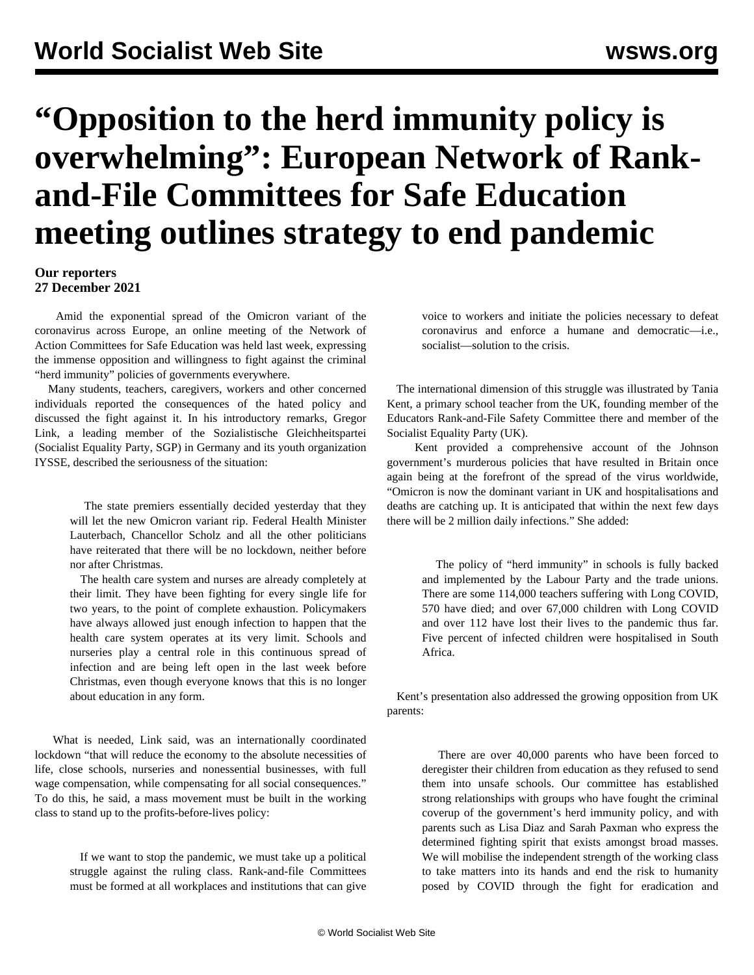## **"Opposition to the herd immunity policy is overwhelming": European Network of Rankand-File Committees for Safe Education meeting outlines strategy to end pandemic**

## **Our reporters 27 December 2021**

 Amid the exponential spread of the Omicron variant of the coronavirus across Europe, an online meeting of the Network of Action Committees for Safe Education was held last week, expressing the immense opposition and willingness to fight against the criminal "herd immunity" policies of governments everywhere.

 Many students, teachers, caregivers, workers and other concerned individuals reported the consequences of the hated policy and discussed the fight against it. In his introductory remarks, Gregor Link, a leading member of the Sozialistische Gleichheitspartei (Socialist Equality Party, SGP) in Germany and its youth organization IYSSE, described the seriousness of the situation:

> The state premiers essentially decided yesterday that they will let the new Omicron variant rip. Federal Health Minister Lauterbach, Chancellor Scholz and all the other politicians have reiterated that there will be no lockdown, neither before nor after Christmas.

> The health care system and nurses are already completely at their limit. They have been fighting for every single life for two years, to the point of complete exhaustion. Policymakers have always allowed just enough infection to happen that the health care system operates at its very limit. Schools and nurseries play a central role in this continuous spread of infection and are being left open in the last week before Christmas, even though everyone knows that this is no longer about education in any form.

 What is needed, Link said, was an internationally coordinated lockdown "that will reduce the economy to the absolute necessities of life, close schools, nurseries and nonessential businesses, with full wage compensation, while compensating for all social consequences." To do this, he said, a mass movement must be built in the working class to stand up to the profits-before-lives policy:

> If we want to stop the pandemic, we must take up a political struggle against the ruling class. Rank-and-file Committees must be formed at all workplaces and institutions that can give

voice to workers and initiate the policies necessary to defeat coronavirus and enforce a humane and democratic—i.e., socialist—solution to the crisis.

 The international dimension of this struggle was illustrated by Tania Kent, a primary school teacher from the UK, founding member of the Educators Rank-and-File Safety Committee there and member of the Socialist Equality Party (UK).

 Kent provided a comprehensive account of the Johnson government's murderous policies that have resulted in Britain once again being at the forefront of the spread of the virus worldwide, "Omicron is now the dominant variant in UK and hospitalisations and deaths are catching up. It is anticipated that within the next few days there will be 2 million daily infections." She added:

> The policy of "herd immunity" in schools is fully backed and implemented by the Labour Party and the trade unions. There are some 114,000 teachers suffering with Long COVID, 570 have died; and over 67,000 children with Long COVID and over 112 have lost their lives to the pandemic thus far. Five percent of infected children were hospitalised in South Africa.

 Kent's presentation also addressed the growing opposition from UK parents:

> There are over 40,000 parents who have been forced to deregister their children from education as they refused to send them into unsafe schools. Our committee has established strong relationships with groups who have fought the criminal coverup of the government's herd immunity policy, and with parents such as Lisa Diaz and Sarah Paxman who express the determined fighting spirit that exists amongst broad masses. We will mobilise the independent strength of the working class to take matters into its hands and end the risk to humanity posed by COVID through the fight for eradication and